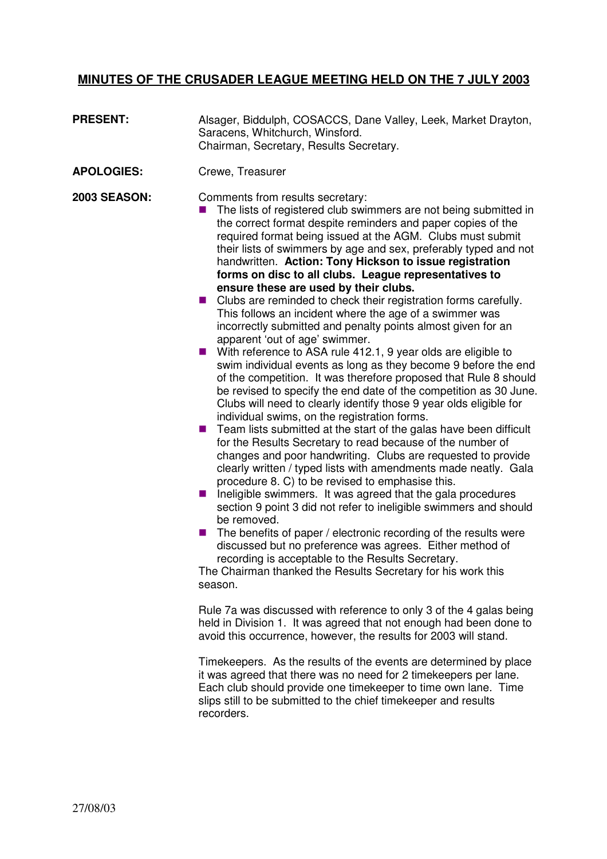## **MINUTES OF THE CRUSADER LEAGUE MEETING HELD ON THE 7 JULY 2003**

- **PRESENT:** Alsager, Biddulph, COSACCS, Dane Valley, Leek, Market Drayton, Saracens, Whitchurch, Winsford. Chairman, Secretary, Results Secretary.
- **APOLOGIES:** Crewe, Treasurer

**2003 SEASON:** Comments from results secretary:

- $\blacksquare$  The lists of registered club swimmers are not being submitted in the correct format despite reminders and paper copies of the required format being issued at the AGM. Clubs must submit their lists of swimmers by age and sex, preferably typed and not handwritten. **Action: Tony Hickson to issue registration forms on disc to all clubs. League representatives to ensure these are used by their clubs.**
- Clubs are reminded to check their registration forms carefully. This follows an incident where the age of a swimmer was incorrectly submitted and penalty points almost given for an apparent 'out of age' swimmer.
- With reference to ASA rule 412.1, 9 year olds are eligible to swim individual events as long as they become 9 before the end of the competition. It was therefore proposed that Rule 8 should be revised to specify the end date of the competition as 30 June. Clubs will need to clearly identify those 9 year olds eligible for individual swims, on the registration forms.
- $\blacksquare$  Team lists submitted at the start of the galas have been difficult for the Results Secretary to read because of the number of changes and poor handwriting. Clubs are requested to provide clearly written / typed lists with amendments made neatly. Gala procedure 8. C) to be revised to emphasise this.
- $\blacksquare$  Ineligible swimmers. It was agreed that the gala procedures section 9 point 3 did not refer to ineligible swimmers and should be removed.
- $\blacksquare$  The benefits of paper / electronic recording of the results were discussed but no preference was agrees. Either method of recording is acceptable to the Results Secretary.

The Chairman thanked the Results Secretary for his work this season.

Rule 7a was discussed with reference to only 3 of the 4 galas being held in Division 1. It was agreed that not enough had been done to avoid this occurrence, however, the results for 2003 will stand.

Timekeepers. As the results of the events are determined by place it was agreed that there was no need for 2 timekeepers per lane. Each club should provide one timekeeper to time own lane. Time slips still to be submitted to the chief timekeeper and results recorders.